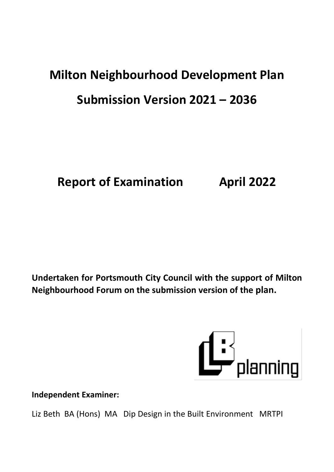# **Milton Neighbourhood Development Plan Submission Version 2021 – 2036**

**Report of Examination April 2022**

**Undertaken for Portsmouth City Council with the support of Milton Neighbourhood Forum on the submission version of the plan.**



**Independent Examiner:**

Liz Beth BA (Hons) MA Dip Design in the Built Environment MRTPI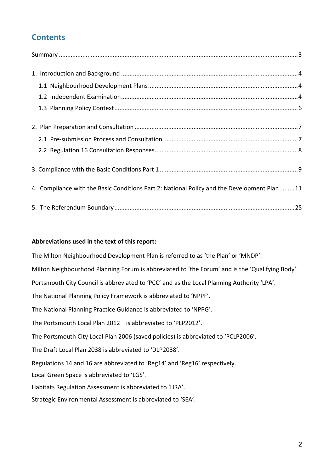# **Contents**

| 4. Compliance with the Basic Conditions Part 2: National Policy and the Development Plan11 |
|--------------------------------------------------------------------------------------------|
|                                                                                            |

### **Abbreviations used in the text of this report:**

The Milton Neighbourhood Development Plan is referred to as 'the Plan' or 'MNDP'. Milton Neighbourhood Planning Forum is abbreviated to 'the Forum' and is the 'Qualifying Body'. Portsmouth City Council is abbreviated to 'PCC' and as the Local Planning Authority 'LPA'. The National Planning Policy Framework is abbreviated to 'NPPF'. The National Planning Practice Guidance is abbreviated to 'NPPG'. The Portsmouth Local Plan 2012 is abbreviated to 'PLP2012'. The Portsmouth City Local Plan 2006 (saved policies) is abbreviated to 'PCLP2006'. The Draft Local Plan 2038 is abbreviated to 'DLP2038'. Regulations 14 and 16 are abbreviated to 'Reg14' and 'Reg16' respectively. Local Green Space is abbreviated to 'LGS'. Habitats Regulation Assessment is abbreviated to 'HRA'. Strategic Environmental Assessment is abbreviated to 'SEA'.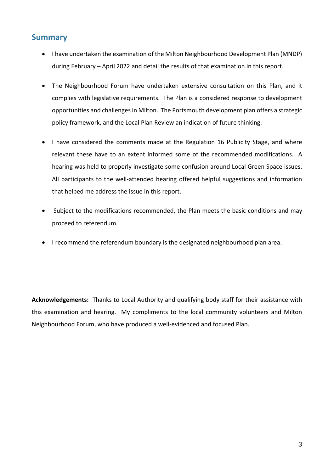### <span id="page-2-0"></span>**Summary**

- I have undertaken the examination of the Milton Neighbourhood Development Plan (MNDP) during February – April 2022 and detail the results of that examination in this report.
- The Neighbourhood Forum have undertaken extensive consultation on this Plan, and it complies with legislative requirements. The Plan is a considered response to development opportunities and challenges in Milton. The Portsmouth development plan offers a strategic policy framework, and the Local Plan Review an indication of future thinking.
- I have considered the comments made at the Regulation 16 Publicity Stage, and where relevant these have to an extent informed some of the recommended modifications. A hearing was held to properly investigate some confusion around Local Green Space issues. All participants to the well-attended hearing offered helpful suggestions and information that helped me address the issue in this report.
- Subject to the modifications recommended, the Plan meets the basic conditions and may proceed to referendum.
- I recommend the referendum boundary is the designated neighbourhood plan area.

**Acknowledgements:** Thanks to Local Authority and qualifying body staff for their assistance with this examination and hearing. My compliments to the local community volunteers and Milton Neighbourhood Forum, who have produced a well-evidenced and focused Plan.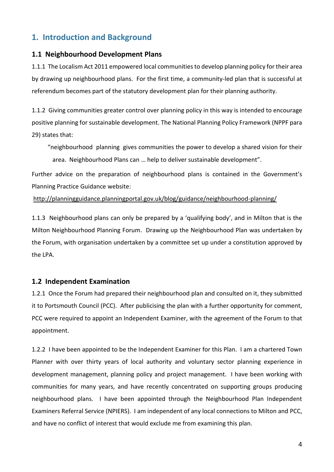# <span id="page-3-0"></span>**1. Introduction and Background**

### <span id="page-3-1"></span>**1.1 Neighbourhood Development Plans**

1.1.1 The Localism Act 2011 empowered local communitiesto develop planning policy for their area by drawing up neighbourhood plans. For the first time, a community-led plan that is successful at referendum becomes part of the statutory development plan for their planning authority.

1.1.2 Giving communities greater control over planning policy in this way is intended to encourage positive planning for sustainable development. The National Planning Policy Framework (NPPF para 29) states that:

"neighbourhood planning gives communities the power to develop a shared vision for their area. Neighbourhood Plans can … help to deliver sustainable development".

Further advice on the preparation of neighbourhood plans is contained in the Government's Planning Practice Guidance website:

<http://planningguidance.planningportal.gov.uk/blog/guidance/neighbourhood-planning/>

1.1.3 Neighbourhood plans can only be prepared by a 'qualifying body', and in Milton that is the Milton Neighbourhood Planning Forum. Drawing up the Neighbourhood Plan was undertaken by the Forum, with organisation undertaken by a committee set up under a constitution approved by the LPA.

### <span id="page-3-2"></span>**1.2 Independent Examination**

1.2.1 Once the Forum had prepared their neighbourhood plan and consulted on it, they submitted it to Portsmouth Council (PCC). After publicising the plan with a further opportunity for comment, PCC were required to appoint an Independent Examiner, with the agreement of the Forum to that appointment.

1.2.2 I have been appointed to be the Independent Examiner for this Plan. I am a chartered Town Planner with over thirty years of local authority and voluntary sector planning experience in development management, planning policy and project management. I have been working with communities for many years, and have recently concentrated on supporting groups producing neighbourhood plans. I have been appointed through the Neighbourhood Plan Independent Examiners Referral Service (NPIERS). I am independent of any local connections to Milton and PCC, and have no conflict of interest that would exclude me from examining this plan.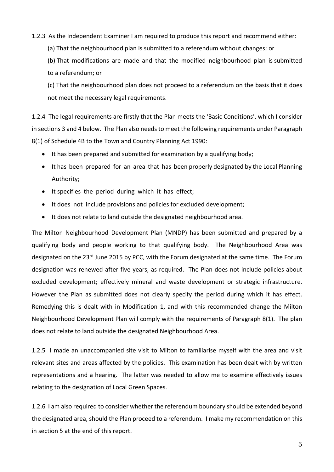### 1.2.3 As the Independent Examiner I am required to produce this report and recommend either:

(a) That the neighbourhood plan is submitted to a referendum without changes; or

(b) That modifications are made and that the modified neighbourhood plan is submitted to a referendum; or

(c) That the neighbourhood plan does not proceed to a referendum on the basis that it does not meet the necessary legal requirements.

1.2.4 The legal requirements are firstly that the Plan meets the 'Basic Conditions', which I consider in sections 3 and 4 below. The Plan also needs to meet the following requirements under Paragraph 8(1) of Schedule 4B to the Town and Country Planning Act 1990:

- It has been prepared and submitted for examination by a qualifying body;
- It has been prepared for an area that has been properly designated by the Local Planning Authority;
- It specifies the period during which it has effect;
- It does not include provisions and policies for excluded development;
- It does not relate to land outside the designated neighbourhood area.

The Milton Neighbourhood Development Plan (MNDP) has been submitted and prepared by a qualifying body and people working to that qualifying body. The Neighbourhood Area was designated on the 23<sup>rd</sup> June 2015 by PCC, with the Forum designated at the same time. The Forum designation was renewed after five years, as required. The Plan does not include policies about excluded development; effectively mineral and waste development or strategic infrastructure. However the Plan as submitted does not clearly specify the period during which it has effect. Remedying this is dealt with in Modification 1, and with this recommended change the Milton Neighbourhood Development Plan will comply with the requirements of Paragraph 8(1). The plan does not relate to land outside the designated Neighbourhood Area.

1.2.5 I made an unaccompanied site visit to Milton to familiarise myself with the area and visit relevant sites and areas affected by the policies. This examination has been dealt with by written representations and a hearing. The latter was needed to allow me to examine effectively issues relating to the designation of Local Green Spaces.

1.2.6 I am also required to consider whether the referendum boundary should be extended beyond the designated area, should the Plan proceed to a referendum. I make my recommendation on this in section 5 at the end of this report.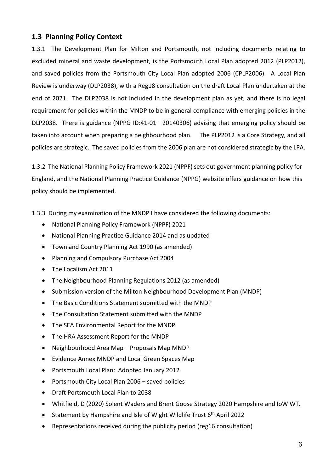### <span id="page-5-0"></span>**1.3 Planning Policy Context**

1.3.1 The Development Plan for Milton and Portsmouth, not including documents relating to excluded mineral and waste development, is the Portsmouth Local Plan adopted 2012 (PLP2012), and saved policies from the Portsmouth City Local Plan adopted 2006 (CPLP2006). A Local Plan Review is underway (DLP2038), with a Reg18 consultation on the draft Local Plan undertaken at the end of 2021. The DLP2038 is not included in the development plan as yet, and there is no legal requirement for policies within the MNDP to be in general compliance with emerging policies in the DLP2038. There is guidance (NPPG ID:41-01—20140306) advising that emerging policy should be taken into account when preparing a neighbourhood plan. The PLP2012 is a Core Strategy, and all policies are strategic. The saved policies from the 2006 plan are not considered strategic by the LPA.

1.3.2 The National Planning Policy Framework 2021 (NPPF) sets out government planning policy for England, and the National Planning Practice Guidance (NPPG) website offers guidance on how this policy should be implemented.

1.3.3 During my examination of the MNDP I have considered the following documents:

- National Planning Policy Framework (NPPF) 2021
- National Planning Practice Guidance 2014 and as updated
- Town and Country Planning Act 1990 (as amended)
- Planning and Compulsory Purchase Act 2004
- The Localism Act 2011
- The Neighbourhood Planning Regulations 2012 (as amended)
- Submission version of the Milton Neighbourhood Development Plan (MNDP)
- The Basic Conditions Statement submitted with the MNDP
- The Consultation Statement submitted with the MNDP
- The SEA Environmental Report for the MNDP
- The HRA Assessment Report for the MNDP
- Neighbourhood Area Map Proposals Map MNDP
- Evidence Annex MNDP and Local Green Spaces Map
- Portsmouth Local Plan: Adopted January 2012
- Portsmouth City Local Plan 2006 saved policies
- Draft Portsmouth Local Plan to 2038
- Whitfield, D (2020) Solent Waders and Brent Goose Strategy 2020 Hampshire and IoW WT.
- Statement by Hampshire and Isle of Wight Wildlife Trust 6<sup>th</sup> April 2022
- Representations received during the publicity period (reg16 consultation)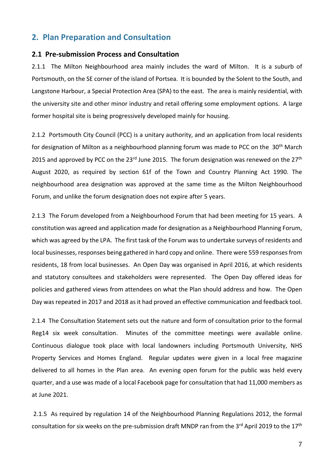## <span id="page-6-0"></span>**2. Plan Preparation and Consultation**

### <span id="page-6-1"></span>**2.1 Pre-submission Process and Consultation**

2.1.1 The Milton Neighbourhood area mainly includes the ward of Milton. It is a suburb of Portsmouth, on the SE corner of the island of Portsea. It is bounded by the Solent to the South, and Langstone Harbour, a Special Protection Area (SPA) to the east. The area is mainly residential, with the university site and other minor industry and retail offering some employment options. A large former hospital site is being progressively developed mainly for housing.

2.1.2 Portsmouth City Council (PCC) is a unitary authority, and an application from local residents for designation of Milton as a neighbourhood planning forum was made to PCC on the 30<sup>th</sup> March 2015 and approved by PCC on the  $23^{rd}$  June 2015. The forum designation was renewed on the  $27^{th}$ August 2020, as required by section 61f of the Town and Country Planning Act 1990. The neighbourhood area designation was approved at the same time as the Milton Neighbourhood Forum, and unlike the forum designation does not expire after 5 years.

2.1.3 The Forum developed from a Neighbourhood Forum that had been meeting for 15 years. A constitution was agreed and application made for designation as a Neighbourhood Planning Forum, which was agreed by the LPA. The first task of the Forum was to undertake surveys of residents and local businesses, responses being gathered in hard copy and online. There were 559 responsesfrom residents, 18 from local businesses. An Open Day was organised in April 2016, at which residents and statutory consultees and stakeholders were represented. The Open Day offered ideas for policies and gathered views from attendees on what the Plan should address and how. The Open Day was repeated in 2017 and 2018 as it had proved an effective communication and feedback tool.

2.1.4 The Consultation Statement sets out the nature and form of consultation prior to the formal Reg14 six week consultation. Minutes of the committee meetings were available online. Continuous dialogue took place with local landowners including Portsmouth University, NHS Property Services and Homes England. Regular updates were given in a local free magazine delivered to all homes in the Plan area. An evening open forum for the public was held every quarter, and a use was made of a local Facebook page for consultation that had 11,000 members as at June 2021.

2.1.5 As required by regulation 14 of the Neighbourhood Planning Regulations 2012, the formal consultation for six weeks on the pre-submission draft MNDP ran from the 3<sup>rd</sup> April 2019 to the 17<sup>th</sup>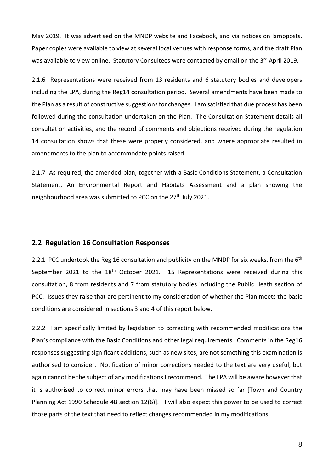May 2019. It was advertised on the MNDP website and Facebook, and via notices on lampposts. Paper copies were available to view at several local venues with response forms, and the draft Plan was available to view online. Statutory Consultees were contacted by email on the 3<sup>rd</sup> April 2019.

2.1.6 Representations were received from 13 residents and 6 statutory bodies and developers including the LPA, during the Reg14 consultation period. Several amendments have been made to the Plan as a result of constructive suggestions for changes. I am satisfied that due process has been followed during the consultation undertaken on the Plan. The Consultation Statement details all consultation activities, and the record of comments and objections received during the regulation 14 consultation shows that these were properly considered, and where appropriate resulted in amendments to the plan to accommodate points raised.

2.1.7 As required, the amended plan, together with a Basic Conditions Statement, a Consultation Statement, An Environmental Report and Habitats Assessment and a plan showing the neighbourhood area was submitted to PCC on the 27<sup>th</sup> July 2021.

### <span id="page-7-0"></span>**2.2 Regulation 16 Consultation Responses**

2.2.1 PCC undertook the Reg 16 consultation and publicity on the MNDP for six weeks, from the 6<sup>th</sup> September 2021 to the 18<sup>th</sup> October 2021. 15 Representations were received during this consultation, 8 from residents and 7 from statutory bodies including the Public Heath section of PCC. Issues they raise that are pertinent to my consideration of whether the Plan meets the basic conditions are considered in sections 3 and 4 of this report below.

2.2.2 I am specifically limited by legislation to correcting with recommended modifications the Plan's compliance with the Basic Conditions and other legal requirements. Comments in the Reg16 responses suggesting significant additions, such as new sites, are not something this examination is authorised to consider. Notification of minor corrections needed to the text are very useful, but again cannot be the subject of any modifications I recommend. The LPA will be aware however that it is authorised to correct minor errors that may have been missed so far [Town and Country Planning Act 1990 Schedule 4B section 12(6)]. I will also expect this power to be used to correct those parts of the text that need to reflect changes recommended in my modifications.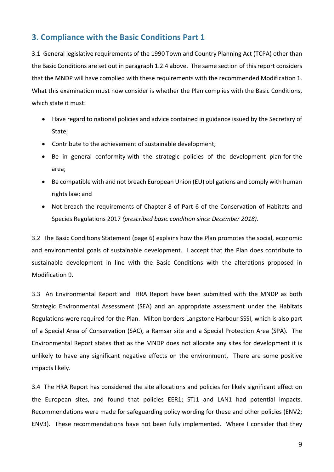# <span id="page-8-0"></span>**3. Compliance with the Basic Conditions Part 1**

3.1 General legislative requirements of the 1990 Town and Country Planning Act (TCPA) other than the Basic Conditions are set out in paragraph 1.2.4 above. The same section of this report considers that the MNDP will have complied with these requirements with the recommended Modification 1. What this examination must now consider is whether the Plan complies with the Basic Conditions, which state it must:

- Have regard to national policies and advice contained in guidance issued by the Secretary of State;
- Contribute to the achievement of sustainable development;
- Be in general conformity with the strategic policies of the development plan for the area;
- Be compatible with and not breach European Union (EU) obligations and comply with human rights law; and
- Not breach the requirements of Chapter 8 of Part 6 of the Conservation of Habitats and Species Regulations 2017 *(prescribed basic condition since December 2018).*

3.2 The Basic Conditions Statement (page 6) explains how the Plan promotes the social, economic and environmental goals of sustainable development. I accept that the Plan does contribute to sustainable development in line with the Basic Conditions with the alterations proposed in Modification 9.

3.3 An Environmental Report and HRA Report have been submitted with the MNDP as both Strategic Environmental Assessment (SEA) and an appropriate assessment under the Habitats Regulations were required for the Plan. Milton borders Langstone Harbour SSSI, which is also part of a Special Area of Conservation (SAC), a Ramsar site and a Special Protection Area (SPA). The Environmental Report states that as the MNDP does not allocate any sites for development it is unlikely to have any significant negative effects on the environment. There are some positive impacts likely.

3.4 The HRA Report has considered the site allocations and policies for likely significant effect on the European sites, and found that policies EER1; STJ1 and LAN1 had potential impacts. Recommendations were made for safeguarding policy wording for these and other policies (ENV2; ENV3). These recommendations have not been fully implemented. Where I consider that they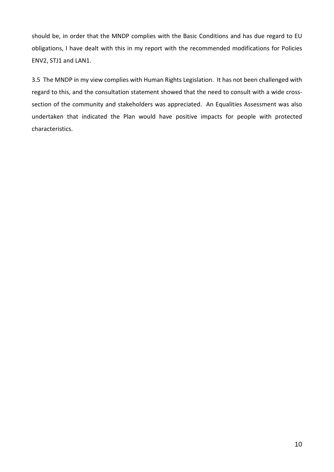should be, in order that the MNDP complies with the Basic Conditions and has due regard to EU obligations, I have dealt with this in my report with the recommended modifications for Policies ENV2, STJ1 and LAN1.

3.5 The MNDP in my view complies with Human Rights Legislation. It has not been challenged with regard to this, and the consultation statement showed that the need to consult with a wide crosssection of the community and stakeholders was appreciated. An Equalities Assessment was also undertaken that indicated the Plan would have positive impacts for people with protected characteristics.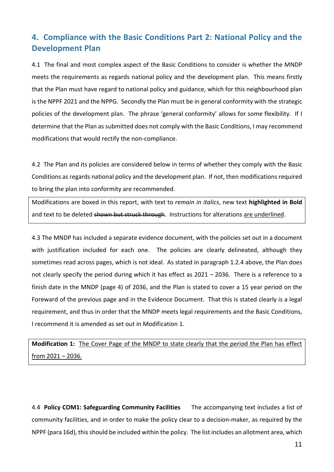# <span id="page-10-0"></span>**4. Compliance with the Basic Conditions Part 2: National Policy and the Development Plan**

4.1 The final and most complex aspect of the Basic Conditions to consider is whether the MNDP meets the requirements as regards national policy and the development plan. This means firstly that the Plan must have regard to national policy and guidance, which for this neighbourhood plan is the NPPF 2021 and the NPPG. Secondly the Plan must be in general conformity with the strategic policies of the development plan. The phrase 'general conformity' allows for some flexibility. If I determine that the Plan as submitted does not comply with the Basic Conditions, I may recommend modifications that would rectify the non-compliance.

4.2 The Plan and its policies are considered below in terms of whether they comply with the Basic Conditions as regards national policy and the development plan. If not, then modificationsrequired to bring the plan into conformity are recommended.

Modifications are boxed in this report, with text to *remain in italics*, new text **highlighted in Bold** and text to be deleted shown but struck through. Instructions for alterations are underlined.

4.3 The MNDP has included a separate evidence document, with the policies set out in a document with justification included for each one. The policies are clearly delineated, although they sometimes read across pages, which is not ideal. As stated in paragraph 1.2.4 above, the Plan does not clearly specify the period during which it has effect as 2021 – 2036. There is a reference to a finish date in the MNDP (page 4) of 2036, and the Plan is stated to cover a 15 year period on the Foreward of the previous page and in the Evidence Document. That this is stated clearly is a legal requirement, and thus in order that the MNDP meets legal requirements and the Basic Conditions, I recommend it is amended as set out in Modification 1.

**Modification 1:** The Cover Page of the MNDP to state clearly that the period the Plan has effect from 2021 – 2036.

4.4 **Policy COM1: Safeguarding Community Facilities** The accompanying text includes a list of community facilities, and in order to make the policy clear to a decision-maker, as required by the NPPF (para 16d), this should be included within the policy. The list includes an allotment area, which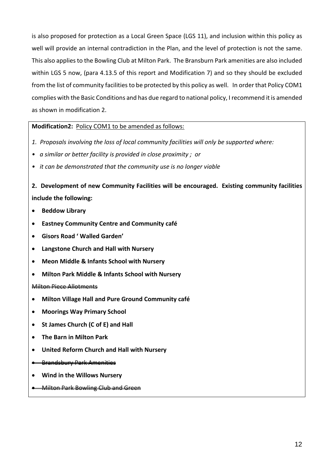is also proposed for protection as a Local Green Space (LGS 11), and inclusion within this policy as well will provide an internal contradiction in the Plan, and the level of protection is not the same. This also appliesto the Bowling Club at Milton Park. The Bransburn Park amenities are also included within LGS 5 now, (para 4.13.5 of this report and Modification 7) and so they should be excluded from the list of community facilities to be protected by this policy as well. In order that Policy COM1 complies with the Basic Conditions and has due regard to national policy, I recommend it is amended as shown in modification 2.

### **Modification2:** Policy COM1 to be amended as follows:

- *1. Proposals involving the loss of local community facilities will only be supported where:*
- *• a similar or better facility is provided in close proximity ; or*
- *• it can be demonstrated that the community use is no longer viable*

**2. Development of new Community Facilities will be encouraged. Existing community facilities include the following:**

- **Beddow Library**
- **Eastney Community Centre and Community café**
- **Gisors Road ' Walled Garden'**
- **Langstone Church and Hall with Nursery**
- **Meon Middle & Infants School with Nursery**
- **Milton Park Middle & Infants School with Nursery**

#### Milton Piece Allotments

- **Milton Village Hall and Pure Ground Community café**
- **Moorings Way Primary School**
- **St James Church (C of E) and Hall**
- **The Barn in Milton Park**
- **United Reform Church and Hall with Nursery**

#### Brandsbury Park Amenities

**Wind in the Willows Nursery**

**Milton Park Bowling Club and Green**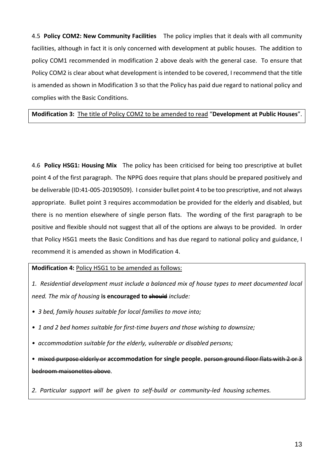4.5 **Policy COM2: New Community Facilities** The policy implies that it deals with all community facilities, although in fact it is only concerned with development at public houses. The addition to policy COM1 recommended in modification 2 above deals with the general case. To ensure that Policy COM2 is clear about what development is intended to be covered, I recommend that the title is amended as shown in Modification 3 so that the Policy has paid due regard to national policy and complies with the Basic Conditions.

### **Modification 3:** The title of Policy COM2 to be amended to read "**Development at Public Houses**".

4.6 **Policy HSG1: Housing Mix** The policy has been criticised for being too prescriptive at bullet point 4 of the first paragraph. The NPPG does require that plans should be prepared positively and be deliverable (ID:41-005-20190509). I consider bullet point 4 to be too prescriptive, and not always appropriate. Bullet point 3 requires accommodation be provided for the elderly and disabled, but there is no mention elsewhere of single person flats. The wording of the first paragraph to be positive and flexible should not suggest that all of the options are always to be provided. In order that Policy HSG1 meets the Basic Conditions and has due regard to national policy and guidance, I recommend it is amended as shown in Modification 4.

### **Modification 4:** Policy HSG1 to be amended as follows:

*1. Residential development must include a balanced mix of house types to meet documented local need. The mix of housing* is encouraged to should *include*:

- *• 3 bed, family houses suitable for local families to move into;*
- *• 1 and 2 bed homes suitable for first-time buyers and those wishing to downsize;*
- *• accommodation suitable for the elderly, vulnerable or disabled persons;*

• mixed purpose elderly or **accommodation for single people.** person ground floor flats with 2 or 3 bedroom maisonettes above.

*2. Particular support will be given to self-build or community-led housing schemes.*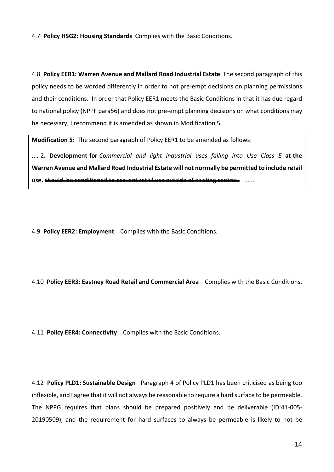4.7 **Policy HSG2: Housing Standards** Complies with the Basic Conditions.

4.8 **Policy EER1: Warren Avenue and Mallard Road Industrial Estate** The second paragraph of this policy needs to be worded differently in order to not pre-empt decisions on planning permissions and their conditions. In order that Policy EER1 meets the Basic Conditions in that it has due regard to national policy (NPPF para56) and does not pre-empt planning decisions on what conditions may be necessary, I recommend it is amended as shown in Modification 5.

**Modification 5:** The second paragraph of Policy EER1 to be amended as follows:

.... 2. **Development for** *Commercial and light industrial uses falling into Use Class E* **at the Warren Avenue and Mallard Road Industrial Estate will not normally be permitted to include retail use.** should be conditioned to prevent retail use outside of existing centres. ......

4.9 **Policy EER2: Employment** Complies with the Basic Conditions.

### 4.10 **Policy EER3: Eastney Road Retail and Commercial Area** Complies with the Basic Conditions.

4.11 **Policy EER4: Connectivity** Complies with the Basic Conditions.

4.12 **Policy PLD1: Sustainable Design** Paragraph 4 of Policy PLD1 has been criticised as being too inflexible, and I agree that it will not always be reasonable to require a hard surface to be permeable. The NPPG requires that plans should be prepared positively and be deliverable (ID:41-005- 20190509), and the requirement for hard surfaces to always be permeable is likely to not be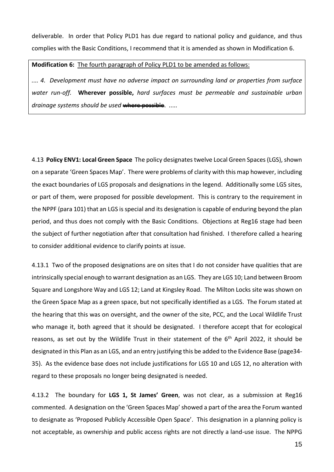deliverable. In order that Policy PLD1 has due regard to national policy and guidance, and thus complies with the Basic Conditions, I recommend that it is amended as shown in Modification 6.

#### **Modification 6:** The fourth paragraph of Policy PLD1 to be amended as follows:

*.... 4. Development must have no adverse impact on surrounding land or properties from surface water run-off.* **Wherever possible,** *hard surfaces must be permeable and sustainable urban drainage systems should be used* where possible. .....

4.13 **Policy ENV1: Local Green Space** The policy designatestwelve Local Green Spaces(LGS),shown on a separate 'Green Spaces Map'. There were problems of clarity with this map however, including the exact boundaries of LGS proposals and designations in the legend. Additionally some LGS sites, or part of them, were proposed for possible development. This is contrary to the requirement in the NPPF (para 101) that an LGS isspecial and its designation is capable of enduring beyond the plan period, and thus does not comply with the Basic Conditions. Objections at Reg16 stage had been the subject of further negotiation after that consultation had finished. I therefore called a hearing to consider additional evidence to clarify points at issue.

4.13.1 Two of the proposed designations are on sites that I do not consider have qualities that are intrinsically special enough to warrant designation as an LGS. They are LGS 10; Land between Broom Square and Longshore Way and LGS 12; Land at Kingsley Road. The Milton Locks site was shown on the Green Space Map as a green space, but not specifically identified as a LGS. The Forum stated at the hearing that this was on oversight, and the owner of the site, PCC, and the Local Wildlife Trust who manage it, both agreed that it should be designated. I therefore accept that for ecological reasons, as set out by the Wildlife Trust in their statement of the 6<sup>th</sup> April 2022, it should be designated in this Plan as an LGS, and an entry justifying this be added to the Evidence Base (page34- 35). As the evidence base does not include justifications for LGS 10 and LGS 12, no alteration with regard to these proposals no longer being designated is needed.

4.13.2 The boundary for **LGS 1, St James' Green**, was not clear, as a submission at Reg16 commented. A designation on the 'Green Spaces Map'showed a part of the area the Forum wanted to designate as 'Proposed Publicly Accessible Open Space'. This designation in a planning policy is not acceptable, as ownership and public access rights are not directly a land-use issue. The NPPG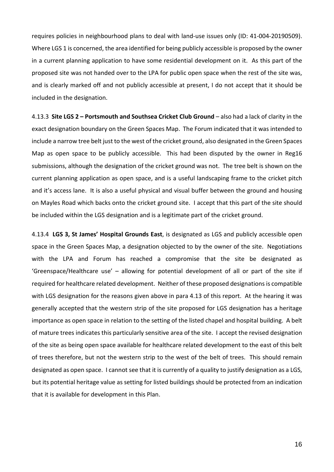requires policies in neighbourhood plans to deal with land-use issues only (ID: 41-004-20190509). Where LGS 1 is concerned, the area identified for being publicly accessible is proposed by the owner in a current planning application to have some residential development on it. As this part of the proposed site was not handed over to the LPA for public open space when the rest of the site was, and is clearly marked off and not publicly accessible at present, I do not accept that it should be included in the designation.

4.13.3 **Site LGS 2 – Portsmouth and Southsea Cricket Club Ground** – also had a lack of clarity in the exact designation boundary on the Green Spaces Map. The Forum indicated that it was intended to include a narrow tree belt just to the west of the cricket ground, also designated in the Green Spaces Map as open space to be publicly accessible. This had been disputed by the owner in Reg16 submissions, although the designation of the cricket ground was not. The tree belt is shown on the current planning application as open space, and is a useful landscaping frame to the cricket pitch and it's access lane. It is also a useful physical and visual buffer between the ground and housing on Mayles Road which backs onto the cricket ground site. I accept that this part of the site should be included within the LGS designation and is a legitimate part of the cricket ground.

4.13.4 **LGS 3, St James' Hospital Grounds East**, is designated as LGS and publicly accessible open space in the Green Spaces Map, a designation objected to by the owner of the site. Negotiations with the LPA and Forum has reached a compromise that the site be designated as 'Greenspace/Healthcare use' – allowing for potential development of all or part of the site if required for healthcare related development. Neither of these proposed designations is compatible with LGS designation for the reasons given above in para 4.13 of this report. At the hearing it was generally accepted that the western strip of the site proposed for LGS designation has a heritage importance as open space in relation to the setting of the listed chapel and hospital building. A belt of mature trees indicates this particularly sensitive area of the site. I accept the revised designation of the site as being open space available for healthcare related development to the east of this belt of trees therefore, but not the western strip to the west of the belt of trees. This should remain designated as open space. I cannot see that it is currently of a quality to justify designation as a LGS, but its potential heritage value as setting for listed buildings should be protected from an indication that it is available for development in this Plan.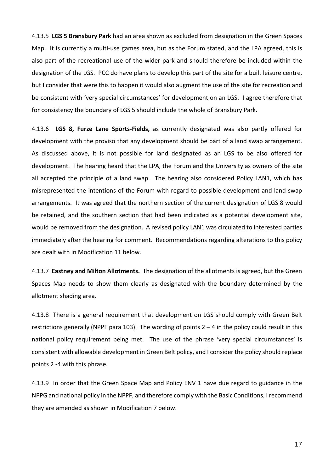4.13.5 **LGS 5 Bransbury Park** had an area shown as excluded from designation in the Green Spaces Map. It is currently a multi-use games area, but as the Forum stated, and the LPA agreed, this is also part of the recreational use of the wider park and should therefore be included within the designation of the LGS. PCC do have plans to develop this part of the site for a built leisure centre, but I consider that were this to happen it would also augment the use of the site for recreation and be consistent with 'very special circumstances' for development on an LGS. I agree therefore that for consistency the boundary of LGS 5 should include the whole of Bransbury Park.

4.13.6 **LGS 8, Furze Lane Sports-Fields,** as currently designated was also partly offered for development with the proviso that any development should be part of a land swap arrangement. As discussed above, it is not possible for land designated as an LGS to be also offered for development. The hearing heard that the LPA, the Forum and the University as owners of the site all accepted the principle of a land swap. The hearing also considered Policy LAN1, which has misrepresented the intentions of the Forum with regard to possible development and land swap arrangements. It was agreed that the northern section of the current designation of LGS 8 would be retained, and the southern section that had been indicated as a potential development site, would be removed from the designation. A revised policy LAN1 was circulated to interested parties immediately after the hearing for comment. Recommendations regarding alterations to this policy are dealt with in Modification 11 below.

4.13.7 **Eastney and Milton Allotments.** The designation of the allotments is agreed, but the Green Spaces Map needs to show them clearly as designated with the boundary determined by the allotment shading area.

4.13.8 There is a general requirement that development on LGS should comply with Green Belt restrictions generally (NPPF para 103). The wording of points  $2 - 4$  in the policy could result in this national policy requirement being met. The use of the phrase 'very special circumstances' is consistent with allowable development in Green Belt policy, and I consider the policy should replace points 2 -4 with this phrase.

4.13.9 In order that the Green Space Map and Policy ENV 1 have due regard to guidance in the NPPG and national policy in the NPPF, and therefore comply with the Basic Conditions, I recommend they are amended as shown in Modification 7 below.

17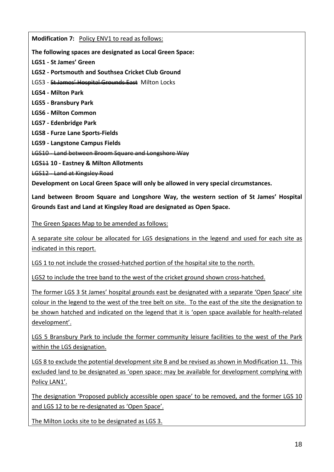**Modification 7:** Policy ENV1 to read as follows:

**The following spaces are designated as Local Green Space:**

**LGS1 - St James' Green**

**LGS2 - Portsmouth and Southsea Cricket Club Ground**

LGS3 - St James' Hospital Grounds East Milton Locks

**LGS4 - Milton Park**

**LGS5 - Bransbury Park**

**LGS6 - Milton Common**

**LGS7 - Edenbridge Park**

**LGS8 - Furze Lane Sports-Fields**

**LGS9 - Langstone Campus Fields**

LGS10 - Land between Broom Square and Longshore Way

**LGS**11 **10 - Eastney & Milton Allotments**

LGS12 - Land at Kingsley Road

**Development on Local Green Space will only be allowed in very special circumstances.**

**Land between Broom Square and Longshore Way, the western section of St James' Hospital Grounds East and Land at Kingsley Road are designated as Open Space.**

The Green Spaces Map to be amended as follows:

A separate site colour be allocated for LGS designations in the legend and used for each site as indicated in this report.

LGS 1 to not include the crossed-hatched portion of the hospital site to the north.

LGS2 to include the tree band to the west of the cricket ground shown cross-hatched.

The former LGS 3 St James' hospital grounds east be designated with a separate 'Open Space' site colour in the legend to the west of the tree belt on site. To the east of the site the designation to be shown hatched and indicated on the legend that it is 'open space available for health-related development'.

LGS 5 Bransbury Park to include the former community leisure facilities to the west of the Park within the LGS designation.

LGS 8 to exclude the potential development site B and be revised as shown in Modification 11. This excluded land to be designated as 'open space: may be available for development complying with Policy LAN1'.

The designation 'Proposed publicly accessible open space' to be removed, and the former LGS 10 and LGS 12 to be re-designated as 'Open Space'.

The Milton Locks site to be designated as LGS 3.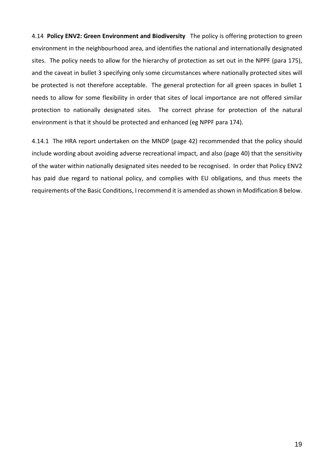4.14 **Policy ENV2: Green Environment and Biodiversity** The policy is offering protection to green environment in the neighbourhood area, and identifies the national and internationally designated sites. The policy needs to allow for the hierarchy of protection as set out in the NPPF (para 175), and the caveat in bullet 3 specifying only some circumstances where nationally protected sites will be protected is not therefore acceptable. The general protection for all green spaces in bullet 1 needs to allow for some flexibility in order that sites of local importance are not offered similar protection to nationally designated sites. The correct phrase for protection of the natural environment is that it should be protected and enhanced (eg NPPF para 174).

4.14.1 The HRA report undertaken on the MNDP (page 42) recommended that the policy should include wording about avoiding adverse recreational impact, and also (page 40) that the sensitivity of the water within nationally designated sites needed to be recognised. In order that Policy ENV2 has paid due regard to national policy, and complies with EU obligations, and thus meets the requirements of the Basic Conditions, I recommend it is amended asshown in Modification 8 below.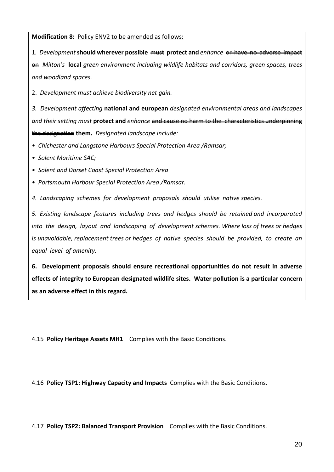**Modification 8:** Policy ENV2 to be amended as follows:

1. Development **should** wherever possible must protect and *enhance* or have no adverse on *Milton's* **local** *green environment including wildlife habitats and corridors, green spaces, trees and woodland spaces.*

2. *Development must achieve biodiversity net gain.*

*3. Development affecting* **national and european** *designated environmental areas and landscapes and their setting must* **protect and** *enhance* and cause no harm to the the designation **them.** *Designated landscape include:*

- *• Chichester and Langstone Harbours Special Protection Area /Ramsar;*
- *• Solent Maritime SAC;*
- *• Solent and Dorset Coast Special Protection Area*
- *• Portsmouth Harbour Special Protection Area /Ramsar.*

*4. Landscaping schemes for development proposals should utilise native species.*

*5. Existing landscape features including trees and hedges should be retained and incorporated into the design, layout and landscaping of development schemes. Where loss of trees or hedges is unavoidable, replacement trees or hedges of native species should be provided, to create an equal level of amenity.*

**6. Development proposals should ensure recreational opportunities do not result in adverse effects of integrity to European designated wildlife sites. Water pollution is a particular concern as an adverse effect in this regard.**

4.15 **Policy Heritage Assets MH1** Complies with the Basic Conditions.

4.16 **Policy TSP1: Highway Capacity and Impacts** Complies with the Basic Conditions.

4.17 **Policy TSP2: Balanced Transport Provision** Complies with the Basic Conditions.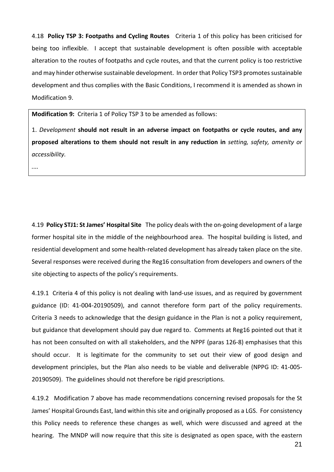4.18 **Policy TSP 3: Footpaths and Cycling Routes** Criteria 1 of this policy has been criticised for being too inflexible. I accept that sustainable development is often possible with acceptable alteration to the routes of footpaths and cycle routes, and that the current policy is too restrictive and may hinder otherwise sustainable development. In order that Policy TSP3 promotes sustainable development and thus complies with the Basic Conditions, I recommend it is amended as shown in Modification 9.

**Modification 9:** Criteria 1 of Policy TSP 3 to be amended as follows:

1. *Development* **should not result in an adverse impact on footpaths or cycle routes, and any proposed alterations to them should not result in any reduction in** *setting, safety, amenity or accessibility.*

*....*

4.19 **Policy STJ1: St James' Hospital Site** The policy deals with the on-going development of a large former hospital site in the middle of the neighbourhood area. The hospital building is listed, and residential development and some health-related development has already taken place on the site. Several responses were received during the Reg16 consultation from developers and owners of the site objecting to aspects of the policy's requirements.

4.19.1 Criteria 4 of this policy is not dealing with land-use issues, and as required by government guidance (ID: 41-004-20190509), and cannot therefore form part of the policy requirements. Criteria 3 needs to acknowledge that the design guidance in the Plan is not a policy requirement, but guidance that development should pay due regard to. Comments at Reg16 pointed out that it has not been consulted on with all stakeholders, and the NPPF (paras 126-8) emphasises that this should occur. It is legitimate for the community to set out their view of good design and development principles, but the Plan also needs to be viable and deliverable (NPPG ID: 41-005- 20190509). The guidelines should not therefore be rigid prescriptions.

4.19.2 Modification 7 above has made recommendations concerning revised proposals for the St James' Hospital Grounds East, land within thissite and originally proposed as a LGS. For consistency this Policy needs to reference these changes as well, which were discussed and agreed at the hearing. The MNDP will now require that this site is designated as open space, with the eastern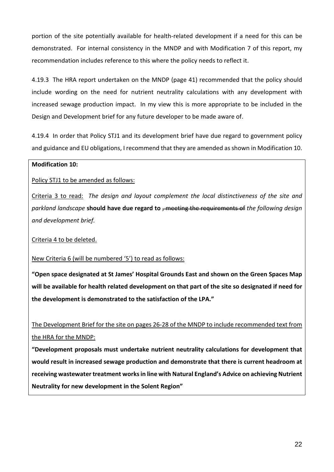portion of the site potentially available for health-related development if a need for this can be demonstrated. For internal consistency in the MNDP and with Modification 7 of this report, my recommendation includes reference to this where the policy needs to reflect it.

4.19.3 The HRA report undertaken on the MNDP (page 41) recommended that the policy should include wording on the need for nutrient neutrality calculations with any development with increased sewage production impact. In my view this is more appropriate to be included in the Design and Development brief for any future developer to be made aware of.

4.19.4 In order that Policy STJ1 and its development brief have due regard to government policy and guidance and EU obligations, I recommend that they are amended asshown in Modification 10.

### **Modification 10:**

Policy STJ1 to be amended as follows:

Criteria 3 to read: *The design and layout complement the local distinctiveness of the site and parkland landscape* **should have due regard to** , meeting the requirements of *the following design and development brief.*

Criteria 4 to be deleted.

New Criteria 6 (will be numbered '5') to read as follows:

**"Open space designated at St James' Hospital Grounds East and shown on the Green Spaces Map** will be available for health related development on that part of the site so designated if need for **the development is demonstrated to the satisfaction of the LPA."**

The Development Brief for the site on pages 26-28 of the MNDP to include recommended text from the HRA for the MNDP:

**"Development proposals must undertake nutrient neutrality calculations for development that would result in increased sewage production and demonstrate that there is current headroom at receiving wastewater treatment worksin line with Natural England's Advice on achieving Nutrient Neutrality for new development in the Solent Region"**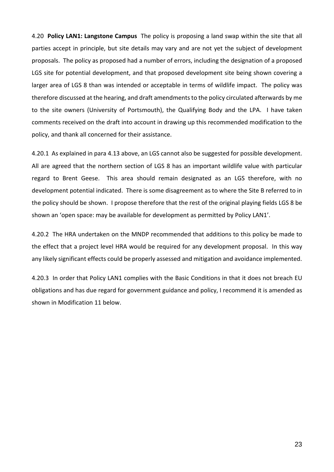4.20 **Policy LAN1: Langstone Campus** The policy is proposing a land swap within the site that all parties accept in principle, but site details may vary and are not yet the subject of development proposals. The policy as proposed had a number of errors, including the designation of a proposed LGS site for potential development, and that proposed development site being shown covering a larger area of LGS 8 than was intended or acceptable in terms of wildlife impact. The policy was therefore discussed at the hearing, and draft amendments to the policy circulated afterwards by me to the site owners (University of Portsmouth), the Qualifying Body and the LPA. I have taken comments received on the draft into account in drawing up this recommended modification to the policy, and thank all concerned for their assistance.

4.20.1 As explained in para 4.13 above, an LGS cannot also be suggested for possible development. All are agreed that the northern section of LGS 8 has an important wildlife value with particular regard to Brent Geese. This area should remain designated as an LGS therefore, with no development potential indicated. There is some disagreement as to where the Site B referred to in the policy should be shown. I propose therefore that the rest of the original playing fields LGS 8 be shown an 'open space: may be available for development as permitted by Policy LAN1'.

4.20.2 The HRA undertaken on the MNDP recommended that additions to this policy be made to the effect that a project level HRA would be required for any development proposal. In this way any likely significant effects could be properly assessed and mitigation and avoidance implemented.

4.20.3 In order that Policy LAN1 complies with the Basic Conditions in that it does not breach EU obligations and has due regard for government guidance and policy, I recommend it is amended as shown in Modification 11 below.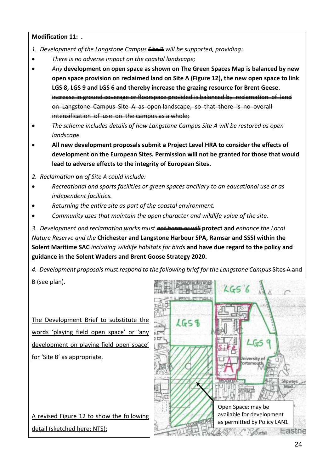### **Modification 11: .**

- *1. Development of the Langstone Campus* Site B *will be supported, providing:*
- *There is no adverse impact on the coastal landscape;*
- *Any* **development on open space as shown on The Green Spaces Map is balanced by new open space provision on reclaimed land on Site A (Figure 12), the new open space to link LGS 8, LGS 9 and LGS 6 and thereby increase the grazing resource for Brent Geese**. increase in ground coverage or floorspace provided is balanced by reclamation <del>as open landscape, so th</del> intensification of use on the campus as a whole;
- *The scheme includes details of how Langstone Campus Site A will be restored as open landscape.*
- **All new development proposals submit a Project Level HRA to consider the effects of development on the European Sites. Permission will not be granted for those that would lead to adverse effects to the integrity of European Sites.**
- *2. Reclamation* **on** *of Site A could include:*
- *Recreational and sports facilities or green spaces ancillary to an educational use or as independent facilities.*
- *Returning the entire site as part of the coastal environment.*
- *Community uses that maintain the open character and wildlife value of the site.*

*3. Development and reclamation works must not harm or will* **protect and** *enhance the Local Nature Reserve and the* **Chichester and Langstone Harbour SPA, Ramsar and SSSI within the Solent Maritime SAC** *including wildlife habitats for birds* **and have due regard to the policy and guidance in the Solent Waders and Brent Goose Strategy 2020.**

4. Development proposals must respond to the following brief for the Langstone Campus-sites

### B (see plan).

The Development Brief to substitute the words 'playing field open space' or 'any development on playing field open space' for 'Site B' as appropriate.

A revised Figure 12 to show the following detail (sketched here: NTS):